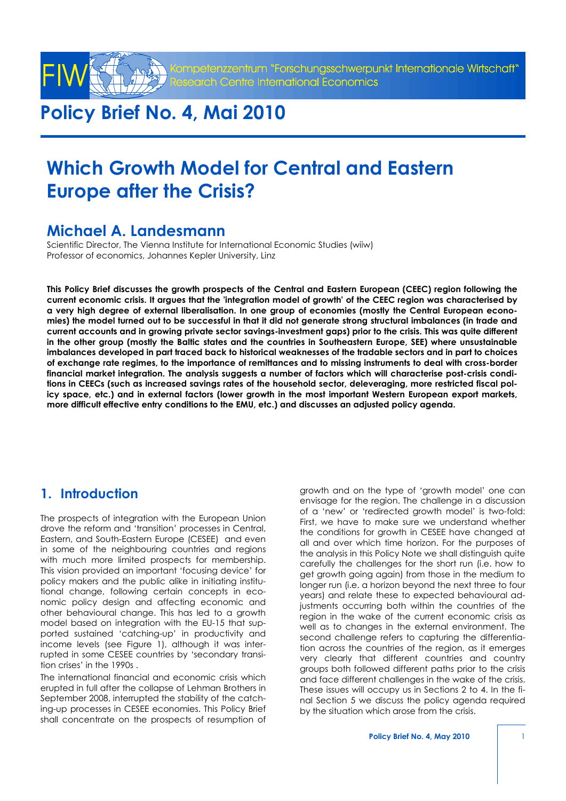

entrum "Forschungsschwerpunkt Internationale Wirtschaft" entre International Economics

# **Policy Brief No. 4, Mai 2010**

# **Which Growth Model for Central and Eastern Europe after the Crisis?**

## **Michael A. Landesmann**

Scientific Director, The Vienna Institute for International Economic Studies (wiiw) Professor of economics, Johannes Kepler University, Linz

**This Policy Brief discusses the growth prospects of the Central and Eastern European (CEEC) region following the current economic crisis. It argues that the 'integration model of growth' of the CEEC region was characterised by a very high degree of external liberalisation. In one group of economies (mostly the Central European economies) the model turned out to be successful in that it did not generate strong structural imbalances (in trade and current accounts and in growing private sector savings-investment gaps) prior to the crisis. This was quite different in the other group (mostly the Baltic states and the countries in Southeastern Europe, SEE) where unsustainable imbalances developed in part traced back to historical weaknesses of the tradable sectors and in part to choices of exchange rate regimes, to the importance of remittances and to missing instruments to deal with cross-border financial market integration. The analysis suggests a number of factors which will characterise post-crisis conditions in CEECs (such as increased savings rates of the household sector, deleveraging, more restricted fiscal policy space, etc.) and in external factors (lower growth in the most important Western European export markets, more difficult effective entry conditions to the EMU, etc.) and discusses an adjusted policy agenda.**

## **1. Introduction**

The prospects of integration with the European Union drove the reform and 'transition' processes in Central, Eastern, and South-Eastern Europe (CESEE) and even in some of the neighbouring countries and regions with much more limited prospects for membership. This vision provided an important 'focusing device' for policy makers and the public alike in initiating institutional change, following certain concepts in economic policy design and affecting economic and other behavioural change. This has led to a growth model based on integration with the EU-15 that supported sustained 'catching-up' in productivity and income levels (see Figure 1), although it was interrupted in some CESEE countries by 'secondary transition crises' in the 1990s .

The international financial and economic crisis which erupted in full after the collapse of Lehman Brothers in September 2008, interrupted the stability of the catching-up processes in CESEE economies. This Policy Brief shall concentrate on the prospects of resumption of

growth and on the type of 'growth model' one can envisage for the region. The challenge in a discussion of a 'new' or 'redirected growth model' is two-fold: First, we have to make sure we understand whether the conditions for growth in CESEE have changed at all and over which time horizon. For the purposes of the analysis in this Policy Note we shall distinguish quite carefully the challenges for the short run (i.e. how to get growth going again) from those in the medium to longer run (i.e. a horizon beyond the next three to four years) and relate these to expected behavioural adjustments occurring both within the countries of the region in the wake of the current economic crisis as well as to changes in the external environment. The second challenge refers to capturing the differentiation across the countries of the region, as it emerges very clearly that different countries and country groups both followed different paths prior to the crisis and face different challenges in the wake of the crisis. These issues will occupy us in Sections 2 to 4. In the final Section 5 we discuss the policy agenda required by the situation which arose from the crisis.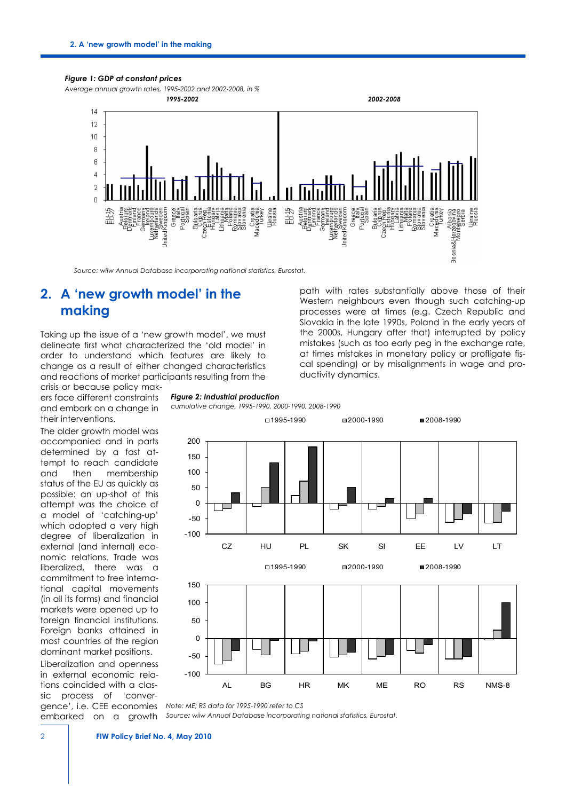#### *Figure 1: GDP at constant prices*

*Average annual growth rates, 1995-2002 and 2002-2008, in %* 



*Source: wiiw Annual Database incorporating national statistics, Eurostat.*

### **2. A 'new growth model' in the making**

Taking up the issue of a 'new growth model', we must delineate first what characterized the 'old model' in order to understand which features are likely to change as a result of either changed characteristics and reactions of market participants resulting from the

crisis or because policy makers face different constraints and embark on a change in their interventions.

The older growth model was accompanied and in parts determined by a fast attempt to reach candidate and then membership status of the EU as quickly as possible: an up-shot of this attempt was the choice of a model of 'catching-up' which adopted a very high degree of liberalization in external (and internal) economic relations. Trade was liberalized, there was a commitment to free international capital movements (in all its forms) and financial markets were opened up to foreign financial institutions. Foreign banks attained in most countries of the region dominant market positions.

Liberalization and openness in external economic relations coincided with a classic process of 'conver*Figure 2: Industrial production* 

*cumulative change, 1995-1990, 2000-1990, 2008-1990*



ductivity dynamics.

path with rates substantially above those of their Western neighbours even though such catching-up processes were at times (e.g. Czech Republic and Slovakia in the late 1990s, Poland in the early years of the 2000s, Hungary after that) interrupted by policy mistakes (such as too early peg in the exchange rate, at times mistakes in monetary policy or profligate fiscal spending) or by misalignments in wage and pro-

gence', i.e. CEE economies *Note: ME; RS data for 1995-1990 refer to CS*

embarked on a growth *Source: wiiw Annual Database incorporating national statistics, Eurostat.*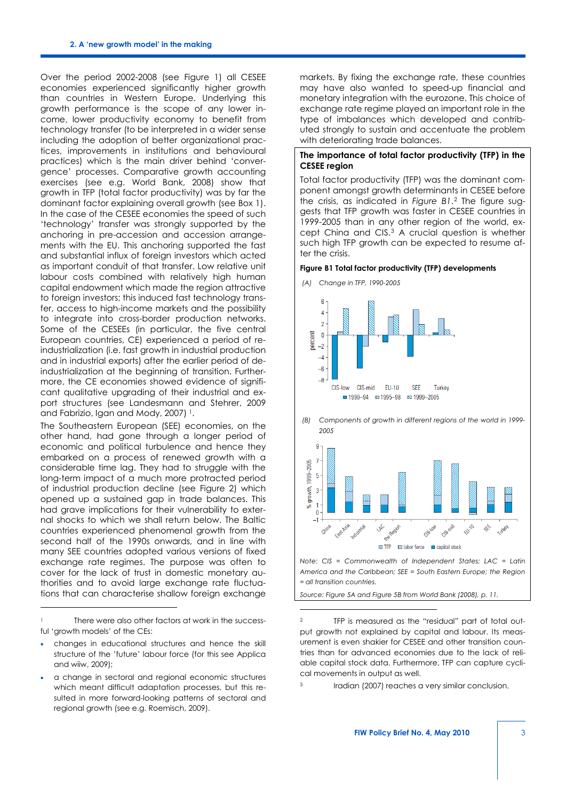Over the period 2002-2008 (see Figure 1) all CESEE economies experienced significantly higher growth than countries in Western Europe. Underlying this growth performance is the scope of any lower income, lower productivity economy to benefit from technology transfer (to be interpreted in a wider sense including the adoption of better organizational practices, improvements in institutions and behavioural practices) which is the main driver behind 'convergence' processes. Comparative growth accounting exercises (see e.g. World Bank, 2008) show that growth in TFP (total factor productivity) was by far the dominant factor explaining overall growth (see Box 1). In the case of the CESEE economies the speed of such 'technology' transfer was strongly supported by the anchoring in pre-accession and accession arrangements with the EU. This anchoring supported the fast and substantial influx of foreign investors which acted as important conduit of that transfer. Low relative unit labour costs combined with relatively high human capital endowment which made the region attractive to foreign investors; this induced fast technology transfer, access to high-income markets and the possibility to integrate into cross-border production networks. Some of the CESEEs (in particular, the five central European countries, CE) experienced a period of reindustrialization (i.e. fast growth in industrial production and in industrial exports) after the earlier period of deindustrialization at the beginning of transition. Furthermore, the CE economies showed evidence of significant qualitative upgrading of their industrial and export structures (see Landesmann and Stehrer, 2009 and Fabrizio, Igan and Mody, 2007)<sup>[1](#page-2-0)</sup>.

The Southeastern European (SEE) economies, on the other hand, had gone through a longer period of economic and political turbulence and hence they embarked on a process of renewed growth with a considerable time lag. They had to struggle with the long-term impact of a much more protracted period of industrial production decline (see Figure 2) which opened up a sustained gap in trade balances. This had grave implications for their vulnerability to external shocks to which we shall return below. The Baltic countries experienced phenomenal growth from the second half of the 1990s onwards, and in line with many SEE countries adopted various versions of fixed exchange rate regimes. The purpose was often to cover for the lack of trust in domestic monetary authorities and to avoid large exchange rate fluctuations that can characterise shallow foreign exchange

l

markets. By fixing the exchange rate, these countries may have also wanted to speed-up financial and monetary integration with the eurozone. This choice of exchange rate regime played an important role in the type of imbalances which developed and contributed strongly to sustain and accentuate the problem with deteriorating trade balances.

#### **The importance of total factor productivity (TFP) in the CESEE region**

Total factor productivity (TFP) was the dominant component amongst growth determinants in CESEE before the crisis, as indicated in *Figure B1*.[2](#page-2-1) The figure suggests that TFP growth was faster in CESEE countries in 1999-2005 than in any other region of the world, except China and CIS.[3](#page-2-2) A crucial question is whether such high TFP growth can be expected to resume after the crisis.

#### **Figure B1 Total factor productivity (TFP) developments**



*(B) Components of growth in different regions of the world in 1999- 2005*



*America and the Caribbean; SEE = South Eastern Europe; the Region = all transition countries.*

*Source: Figure 5A and Figure 5B from World Bank (2008), p. 11.*

-

<span id="page-2-1"></span><span id="page-2-0"></span>There were also other factors at work in the successful 'growth models' of the CEs:

<sup>•</sup> changes in educational structures and hence the skill structure of the 'future' labour force (for this see Applica and wiiw, 2009);

<span id="page-2-2"></span><sup>•</sup> a change in sectoral and regional economic structures which meant difficult adaptation processes, but this resulted in more forward-looking patterns of sectoral and regional growth (see e.g. Roemisch, 2009).

TFP is measured as the "residual" part of total output growth not explained by capital and labour. Its measurement is even shakier for CESEE and other transition countries than for advanced economies due to the lack of reliable capital stock data. Furthermore, TFP can capture cyclical movements in output as well.

<sup>3</sup> Iradian (2007) reaches a very similar conclusion.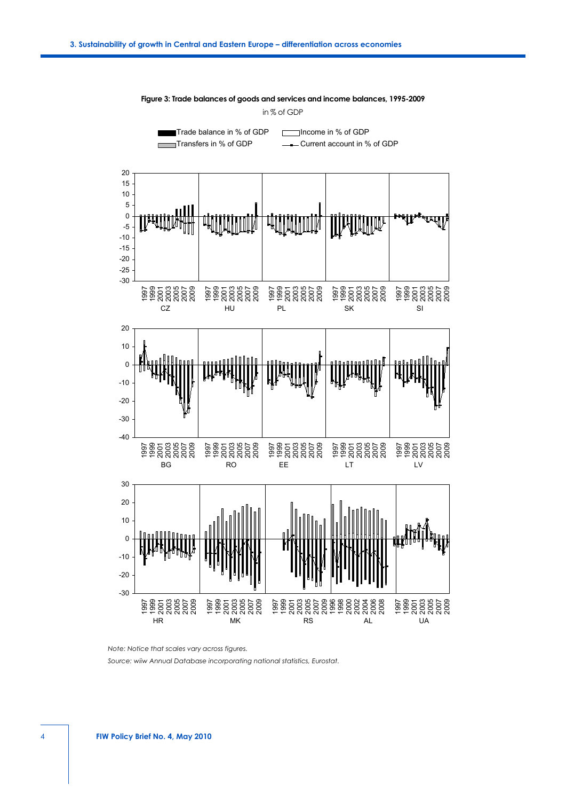

**Figure 3: Trade balances of goods and services and income balances, 1995-2009** in % of GDP

*Note: Notice that scales vary across figures.*

*Source: wiiw Annual Database incorporating national statistics, Eurostat.*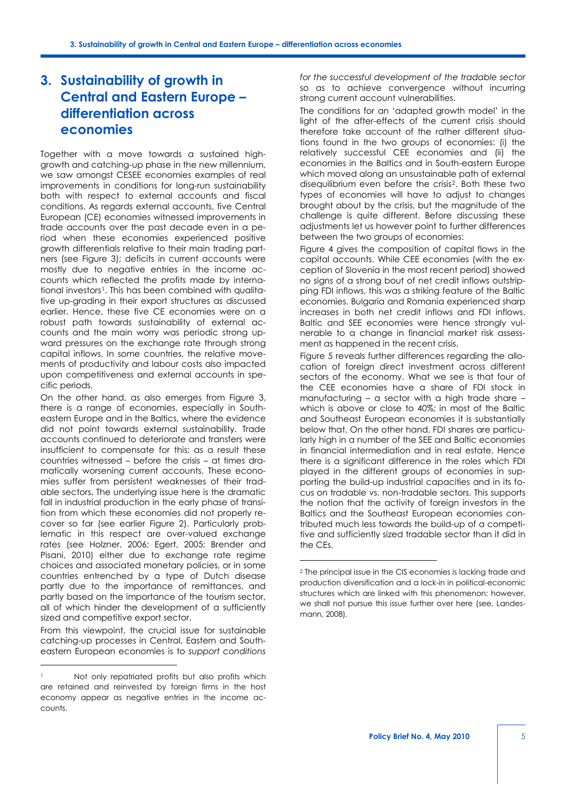## **3. Sustainability of growth in Central and Eastern Europe – differentiation across economies**

Together with a move towards a sustained highgrowth and catching-up phase in the new millennium, we saw amongst CESEE economies examples of real improvements in conditions for long-run sustainability both with respect to external accounts and fiscal conditions. As regards external accounts, five Central European (CE) economies witnessed improvements in trade accounts over the past decade even in a period when these economies experienced positive growth differentials relative to their main trading partners (see Figure 3); deficits in current accounts were mostly due to negative entries in the income accounts which reflected the profits made by interna-tional investors<sup>[1](#page-4-0)</sup>. This has been combined with qualitative up-grading in their export structures as discussed earlier. Hence, these five CE economies were on a robust path towards sustainability of external accounts and the main worry was periodic strong upward pressures on the exchange rate through strong capital inflows. In some countries, the relative movements of productivity and labour costs also impacted upon competitiveness and external accounts in specific periods.

On the other hand, as also emerges from Figure 3, there is a range of economies, especially in Southeastern Europe and in the Baltics, where the evidence did not point towards external sustainability. Trade accounts continued to deteriorate and transfers were insufficient to compensate for this; as a result these countries witnessed – before the crisis – at times dramatically worsening current accounts. These economies suffer from persistent weaknesses of their tradable sectors. The underlying issue here is the dramatic fall in industrial production in the early phase of transition from which these economies did not properly recover so far (see earlier Figure 2). Particularly problematic in this respect are over-valued exchange rates (see Holzner, 2006; Egert, 2005; Brender and Pisani, 2010) either due to exchange rate regime choices and associated monetary policies, or in some countries entrenched by a type of Dutch disease partly due to the importance of remittances, and partly based on the importance of the tourism sector, all of which hinder the development of a sufficiently sized and competitive export sector.

<span id="page-4-1"></span>From this viewpoint, the crucial issue for sustainable catching-up processes in Central, Eastern and Southeastern European economies is to *support conditions* 

j

*for the successful development of the tradable sector* so as to achieve convergence without incurring strong current account vulnerabilities.

The conditions for an 'adapted growth model' in the light of the after-effects of the current crisis should therefore take account of the rather different situations found in the two groups of economies: (i) the relatively successful CEE economies and (ii) the economies in the Baltics and in South-eastern Europe which moved along an unsustainable path of external disequilibrium even before the crisis[2](#page-4-1) . Both these two types of economies will have to adjust to changes brought about by the crisis, but the magnitude of the challenge is quite different. Before discussing these adjustments let us however point to further differences between the two groups of economies:

Figure 4 gives the composition of capital flows in the capital accounts. While CEE economies (with the exception of Slovenia in the most recent period) showed no signs of a strong bout of net credit inflows outstripping FDI inflows, this was a striking feature of the Baltic economies. Bulgaria and Romania experienced sharp increases in both net credit inflows and FDI inflows. Baltic and SEE economies were hence strongly vulnerable to a change in financial market risk assessment as happened in the recent crisis.

Figure 5 reveals further differences regarding the allocation of foreign direct investment across different sectors of the economy. What we see is that four of the CEE economies have a share of FDI stock in manufacturing – a sector with a high trade share – which is above or close to 40%; in most of the Baltic and Southeast European economies it is substantially below that. On the other hand, FDI shares are particularly high in a number of the SEE and Baltic economies in financial intermediation and in real estate. Hence there is a significant difference in the roles which FDI played in the different groups of economies in supporting the build-up industrial capacities and in its focus on tradable vs. non-tradable sectors. This supports the notion that the activity of foreign investors in the Baltics and the Southeast European economies contributed much less towards the build-up of a competitive and sufficiently sized tradable sector than it did in the CEs.

-

<span id="page-4-0"></span><sup>1</sup> Not only repatriated profits but also profits which are retained and reinvested by foreign firms in the host economy appear as negative entries in the income accounts.

<sup>2</sup> The principal issue in the CIS economies is lacking trade and production diversification and a lock-in in political-economic structures which are linked with this phenomenon; however, we shall not pursue this issue further over here (see, Landesmann, 2008).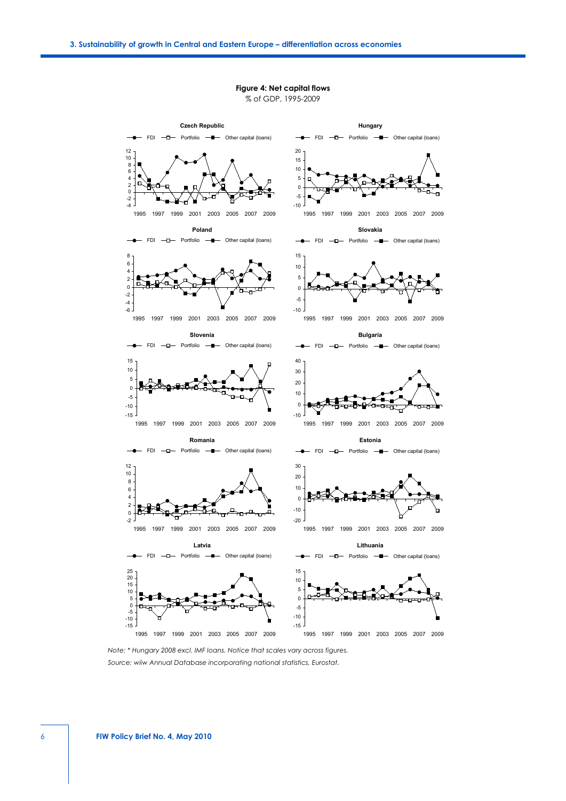#### **Czech Republic Hungary** - FDI - D- Portfolio - - Other capital (loans)  $\leftarrow$  FDI  $\leftarrow$  Portfolio  $\leftarrow$  Other capital (loans) 20 10 12 15 6 8 10 5 2 4  $\overline{0}$  $\mathfrak{c}$ -5  $\blacksquare$ -2 -4  $-10 -$ 1995 1997 1999 2001 2003 2005 2007 2009 1995 1997 1999 2001 2003 2005 2007 2009 **Poland Slovakia** FDI - D- Portfolio - - Other capital (loans) - - FDI - - Portfolio - - Other capital (loans) 8 15 6 10 4 5  $\overline{2}$ <u>al</u>  $\mathbf{0}$ 0 -2 -5 -4  $-10 -$ -6 1995 1997 1999 2001 2003 2005 2007 2009 1995 1997 1999 2001 2003 2005 2007 2009 **Slovenia Bulgaria** FDI  $-\Box$  Portfolio  $-\Box$  Other capital (loans) - FDI -D- Portfolio -D- Other capital (loans)  $\overline{\phantom{a}}$ 15 40 10 30 5 20 0 10 -5  $\overline{0}$ -10 47  $-15$ .  $-10 -$ 1995 1997 1999 2001 2003 2005 2007 2009 1995 1997 1999 2001 2003 2005 2007 2009 **Romania Estonia**  $FDI$   $-D$  Portfolio  $\neg$  - Other capital (loans) - FDI -D- Portfolio -D- Other capital (loans) 12 30 10  $20$ 8 10 6 4  $\overline{0}$ 2 -10 0  $-2 -20 -$ 1995 1997 1999 2001 2003 2005 2007 2009 1995 1997 1999 2001 2003 2005 2007 2009 **Latvia Lithuania** FDI  $-\Box$  Portfolio  $-\Box$  Other capital (loans) - FDI -D- Portfolio -D- Other capital (loans)  $\rightarrow$ 15 20 25 10 15 5 10 0 5  $\overline{0}$ -5 -5

#### **Figure 4: Net capital flows** % of GDP, 1995-2009

*Note: \* Hungary 2008 excl. IMF loans. Notice that scales vary across figures. Source: wiiw Annual Database incorporating national statistics, Eurostat.*

 $-15$ -10

1995 1997 1999 2001 2003 2005 2007 2009

1995 1997 1999 2001 2003 2005 2007 2009

-15 -10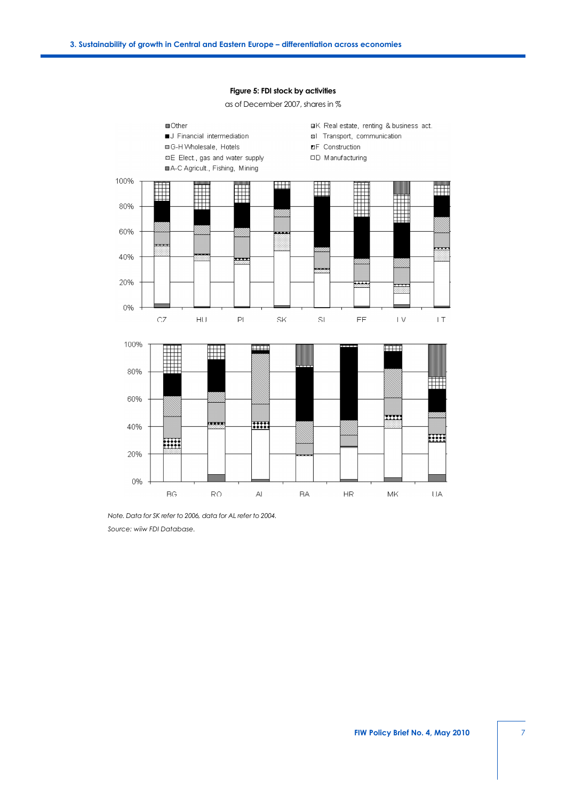

#### **Figure 5: FDI stock by activities**

as of December 2007, shares in %

*Note. Data for SK refer to 2006, data for AL refer to 2004. Source: wiiw FDI Database.*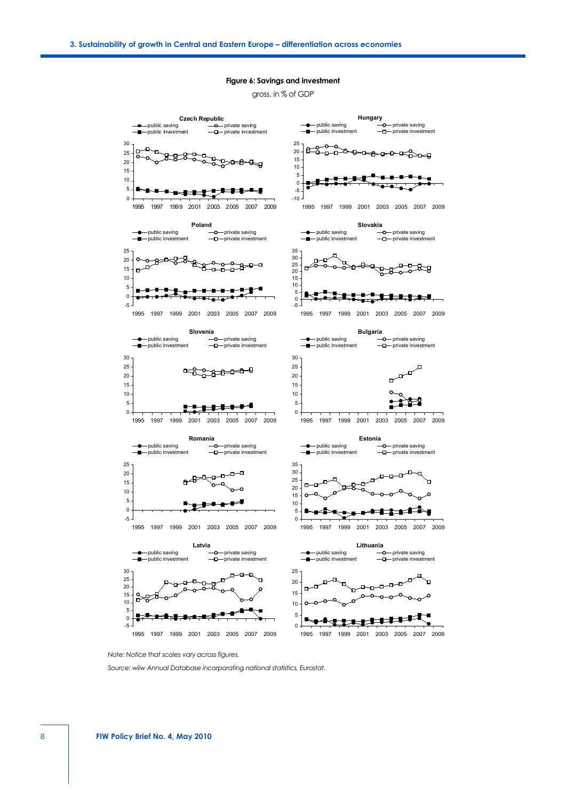#### **Figure 6: Savings and investment**

gross, in % of GDP



*Note: Notice that scales vary across figures.*

*Source: wiiw Annual Database incorporating national statistics, Eurostat.*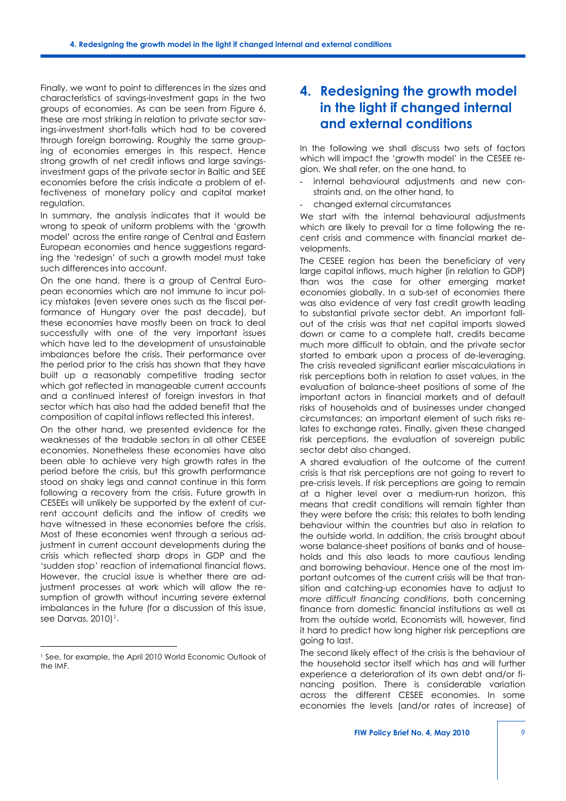Finally, we want to point to differences in the sizes and characteristics of savings-investment gaps in the two groups of economies. As can be seen from Figure 6, these are most striking in relation to private sector savings-investment short-falls which had to be covered through foreign borrowing. Roughly the same grouping of economies emerges in this respect. Hence strong growth of net credit inflows and large savingsinvestment gaps of the private sector in Baltic and SEE economies before the crisis indicate a problem of effectiveness of monetary policy and capital market regulation.

In summary, the analysis indicates that it would be wrong to speak of uniform problems with the 'growth model' across the entire range of Central and Eastern European economies and hence suggestions regarding the 'redesign' of such a growth model must take such differences into account.

On the one hand, there is a group of Central European economies which are not immune to incur policy mistakes (even severe ones such as the fiscal performance of Hungary over the past decade), but these economies have mostly been on track to deal successfully with one of the very important issues which have led to the development of unsustainable imbalances before the crisis. Their performance over the period prior to the crisis has shown that they have built up a reasonably competitive trading sector which got reflected in manageable current accounts and a continued interest of foreign investors in that sector which has also had the added benefit that the composition of capital inflows reflected this interest.

On the other hand, we presented evidence for the weaknesses of the tradable sectors in all other CESEE economies. Nonetheless these economies have also been able to achieve very high growth rates in the period before the crisis, but this growth performance stood on shaky legs and cannot continue in this form following a recovery from the crisis. Future growth in CESEEs will unlikely be supported by the extent of current account deficits and the inflow of credits we have witnessed in these economies before the crisis. Most of these economies went through a serious adjustment in current account developments during the crisis which reflected sharp drops in GDP and the 'sudden stop' reaction of international financial flows. However, the crucial issue is whether there are adjustment processes at work which will allow the resumption of growth without incurring severe external imbalances in the future (for a discussion of this issue, see Darvas,  $2010$ <sup>1</sup>.

j

## **4. Redesigning the growth model in the light if changed internal and external conditions**

In the following we shall discuss two sets of factors which will impact the 'growth model' in the CESEE region. We shall refer, on the one hand, to

- internal behavioural adjustments and new constraints and, on the other hand, to
- changed external circumstances

We start with the internal behavioural adjustments which are likely to prevail for a time following the recent crisis and commence with financial market developments.

The CESEE region has been the beneficiary of very large capital inflows, much higher (in relation to GDP) than was the case for other emerging market economies globally. In a sub-set of economies there was also evidence of very fast credit growth leading to substantial private sector debt. An important fallout of the crisis was that net capital imports slowed down or came to a complete halt, credits became much more difficult to obtain, and the private sector started to embark upon a process of de-leveraging. The crisis revealed significant earlier miscalculations in risk perceptions both in relation to asset values, in the evaluation of balance-sheet positions of some of the important actors in financial markets and of default risks of households and of businesses under changed circumstances; an important element of such risks relates to exchange rates. Finally, given these changed risk perceptions, the evaluation of sovereign public sector debt also changed.

A shared evaluation of the outcome of the current crisis is that risk perceptions are not going to revert to pre-crisis levels. If risk perceptions are going to remain at a higher level over a medium-run horizon, this means that credit conditions will remain tighter than they were before the crisis; this relates to both lending behaviour within the countries but also in relation to the outside world. In addition, the crisis brought about worse balance-sheet positions of banks and of households and this also leads to more cautious lending and borrowing behaviour. Hence one of the most important outcomes of the current crisis will be that transition and catching-up economies have to adjust to *more difficult financing conditions*, both concerning finance from domestic financial institutions as well as from the outside world. Economists will, however, find it hard to predict how long higher risk perceptions are going to last.

The second likely effect of the crisis is the behaviour of the household sector itself which has and will further experience a deterioration of its own debt and/or financing position. There is considerable variation across the different CESEE economies. In some economies the levels (and/or rates of increase) of

<span id="page-8-0"></span><sup>1</sup> See, for example, the April 2010 World Economic Outlook of the IMF.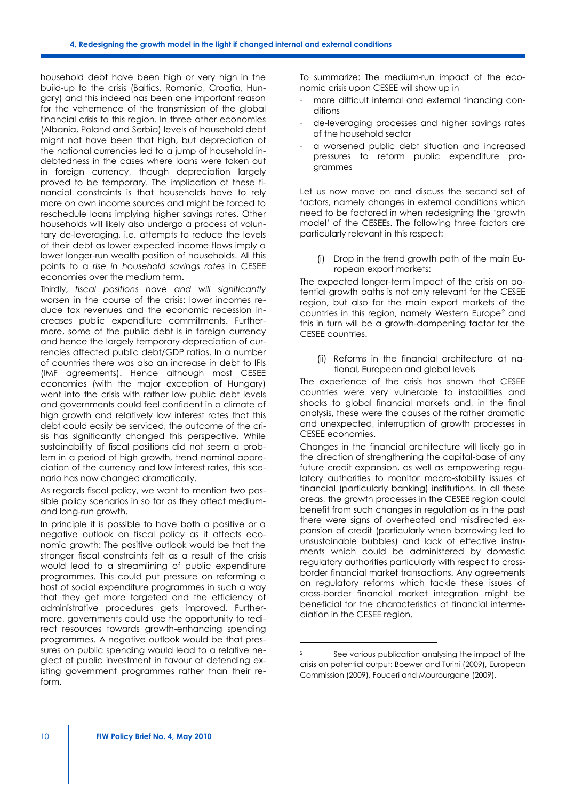household debt have been high or very high in the build-up to the crisis (Baltics, Romania, Croatia, Hungary) and this indeed has been one important reason for the vehemence of the transmission of the global financial crisis to this region. In three other economies (Albania, Poland and Serbia) levels of household debt might not have been that high, but depreciation of the national currencies led to a jump of household indebtedness in the cases where loans were taken out in foreign currency, though depreciation largely proved to be temporary. The implication of these financial constraints is that households have to rely more on own income sources and might be forced to reschedule loans implying higher savings rates. Other households will likely also undergo a process of voluntary de-leveraging, i.e. attempts to reduce the levels of their debt as lower expected income flows imply a lower longer-run wealth position of households. All this points to a *rise in household savings rates* in CESEE economies over the medium term.

Thirdly, *fiscal positions have and will significantly worsen* in the course of the crisis: lower incomes reduce tax revenues and the economic recession increases public expenditure commitments. Furthermore, some of the public debt is in foreign currency and hence the largely temporary depreciation of currencies affected public debt/GDP ratios. In a number of countries there was also an increase in debt to IFIs (IMF agreements). Hence although most CESEE economies (with the major exception of Hungary) went into the crisis with rather low public debt levels and governments could feel confident in a climate of high growth and relatively low interest rates that this debt could easily be serviced, the outcome of the crisis has significantly changed this perspective. While sustainability of fiscal positions did not seem a problem in a period of high growth, trend nominal appreciation of the currency and low interest rates, this scenario has now changed dramatically.

As regards fiscal policy, we want to mention two possible policy scenarios in so far as they affect mediumand long-run growth.

<span id="page-9-0"></span>In principle it is possible to have both a positive or a negative outlook on fiscal policy as it affects economic growth: The positive outlook would be that the stronger fiscal constraints felt as a result of the crisis would lead to a streamlining of public expenditure programmes. This could put pressure on reforming a host of social expenditure programmes in such a way that they get more targeted and the efficiency of administrative procedures gets improved. Furthermore, governments could use the opportunity to redirect resources towards growth-enhancing spending programmes. A negative outlook would be that pressures on public spending would lead to a relative neglect of public investment in favour of defending existing government programmes rather than their reform.

To summarize: The medium-run impact of the economic crisis upon CESEE will show up in

- more difficult internal and external financing conditions
- de-leveraging processes and higher savings rates of the household sector
- a worsened public debt situation and increased pressures to reform public expenditure programmes

Let us now move on and discuss the second set of factors, namely changes in external conditions which need to be factored in when redesigning the 'growth model' of the CESEEs. The following three factors are particularly relevant in this respect:

(i) Drop in the trend growth path of the main European export markets:

The expected longer-term impact of the crisis on potential growth paths is not only relevant for the CESEE region, but also for the main export markets of the countries in this region, namely Western Europe[2](#page-9-0) and this in turn will be a growth-dampening factor for the CESEE countries.

(ii) Reforms in the financial architecture at national, European and global levels

The experience of the crisis has shown that CESEE countries were very vulnerable to instabilities and shocks to global financial markets and, in the final analysis, these were the causes of the rather dramatic and unexpected, interruption of growth processes in CESEE economies.

Changes in the financial architecture will likely go in the direction of strengthening the capital-base of any future credit expansion, as well as empowering regulatory authorities to monitor macro-stability issues of financial (particularly banking) institutions. In all these areas, the growth processes in the CESEE region could benefit from such changes in regulation as in the past there were signs of overheated and misdirected expansion of credit (particularly when borrowing led to unsustainable bubbles) and lack of effective instruments which could be administered by domestic regulatory authorities particularly with respect to crossborder financial market transactions. Any agreements on regulatory reforms which tackle these issues of cross-border financial market integration might be beneficial for the characteristics of financial intermediation in the CESEE region.

-

See various publication analysing the impact of the crisis on potential output: Boewer and Turini (2009), European Commission (2009), Fouceri and Mourourgane (2009).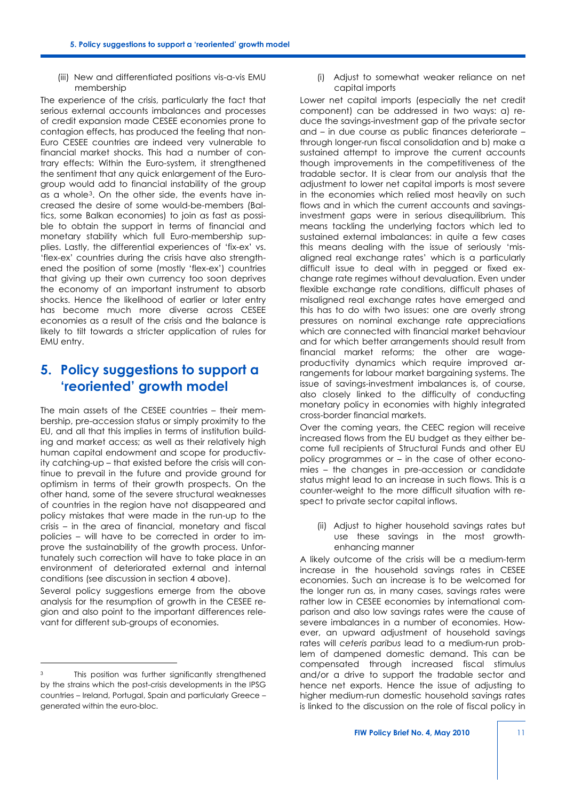(iii) New and differentiated positions vis-a-vis EMU membership

The experience of the crisis, particularly the fact that serious external accounts imbalances and processes of credit expansion made CESEE economies prone to contagion effects, has produced the feeling that non-Euro CESEE countries are indeed very vulnerable to financial market shocks. This had a number of contrary effects: Within the Euro-system, it strengthened the sentiment that any quick enlargement of the Eurogroup would add to financial instability of the group as a whole[3](#page-10-0). On the other side, the events have increased the desire of some would-be-members (Baltics, some Balkan economies) to join as fast as possible to obtain the support in terms of financial and monetary stability which full Euro-membership supplies. Lastly, the differential experiences of 'fix-ex' vs. 'flex-ex' countries during the crisis have also strengthened the position of some (mostly 'flex-ex') countries that giving up their own currency too soon deprives the economy of an important instrument to absorb shocks. Hence the likelihood of earlier or later entry has become much more diverse across CESEE economies as a result of the crisis and the balance is likely to tilt towards a stricter application of rules for EMU entry.

## **5. Policy suggestions to support a 'reoriented' growth model**

The main assets of the CESEE countries – their membership, pre-accession status or simply proximity to the EU, and all that this implies in terms of institution building and market access; as well as their relatively high human capital endowment and scope for productivity catching-up – that existed before the crisis will continue to prevail in the future and provide ground for optimism in terms of their growth prospects. On the other hand, some of the severe structural weaknesses of countries in the region have not disappeared and policy mistakes that were made in the run-up to the crisis – in the area of financial, monetary and fiscal policies – will have to be corrected in order to improve the sustainability of the growth process. Unfortunately such correction will have to take place in an environment of deteriorated external and internal conditions (see discussion in section 4 above).

Several policy suggestions emerge from the above analysis for the resumption of growth in the CESEE region and also point to the important differences relevant for different sub-groups of economies.

j

(i) Adjust to somewhat weaker reliance on net capital imports

Lower net capital imports (especially the net credit component) can be addressed in two ways: a) reduce the savings-investment gap of the private sector and – in due course as public finances deteriorate – through longer-run fiscal consolidation and b) make a sustained attempt to improve the current accounts though improvements in the competitiveness of the tradable sector. It is clear from our analysis that the adjustment to lower net capital imports is most severe in the economies which relied most heavily on such flows and in which the current accounts and savingsinvestment gaps were in serious disequilibrium. This means tackling the underlying factors which led to sustained external imbalances: in quite a few cases this means dealing with the issue of seriously 'misaligned real exchange rates' which is a particularly difficult issue to deal with in pegged or fixed exchange rate regimes without devaluation. Even under flexible exchange rate conditions, difficult phases of misaligned real exchange rates have emerged and this has to do with two issues: one are overly strong pressures on nominal exchange rate appreciations which are connected with financial market behaviour and for which better arrangements should result from financial market reforms; the other are wageproductivity dynamics which require improved arrangements for labour market bargaining systems. The issue of savings-investment imbalances is, of course, also closely linked to the difficulty of conducting monetary policy in economies with highly integrated cross-border financial markets.

Over the coming years, the CEEC region will receive increased flows from the EU budget as they either become full recipients of Structural Funds and other EU policy programmes or – in the case of other economies – the changes in pre-accession or candidate status might lead to an increase in such flows. This is a counter-weight to the more difficult situation with respect to private sector capital inflows.

(ii) Adjust to higher household savings rates but use these savings in the most growthenhancing manner

A likely outcome of the crisis will be a medium-term increase in the household savings rates in CESEE economies. Such an increase is to be welcomed for the longer run as, in many cases, savings rates were rather low in CESEE economies by international comparison and also low savings rates were the cause of severe imbalances in a number of economies. However, an upward adjustment of household savings rates will *ceteris paribus* lead to a medium-run problem of dampened domestic demand. This can be compensated through increased fiscal stimulus and/or a drive to support the tradable sector and hence net exports. Hence the issue of adjusting to higher medium-run domestic household savings rates is linked to the discussion on the role of fiscal policy in

<span id="page-10-0"></span><sup>3</sup> This position was further significantly strengthened by the strains which the post-crisis developments in the IPSG countries – Ireland, Portugal, Spain and particularly Greece – generated within the euro-bloc.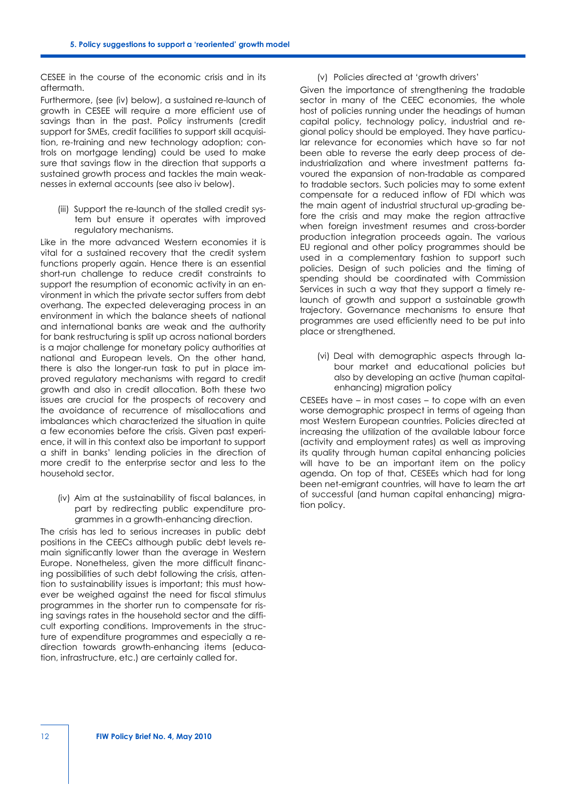CESEE in the course of the economic crisis and in its aftermath.

Furthermore, (see (iv) below), a sustained re-launch of growth in CESEE will require a more efficient use of savings than in the past. Policy instruments (credit support for SMEs, credit facilities to support skill acquisition, re-training and new technology adoption; controls on mortgage lending) could be used to make sure that savings flow in the direction that supports a sustained growth process and tackles the main weaknesses in external accounts (see also iv below).

(iii) Support the re-launch of the stalled credit system but ensure it operates with improved regulatory mechanisms.

Like in the more advanced Western economies it is vital for a sustained recovery that the credit system functions properly again. Hence there is an essential short-run challenge to reduce credit constraints to support the resumption of economic activity in an environment in which the private sector suffers from debt overhang. The expected deleveraging process in an environment in which the balance sheets of national and international banks are weak and the authority for bank restructuring is split up across national borders is a major challenge for monetary policy authorities at national and European levels. On the other hand, there is also the longer-run task to put in place improved regulatory mechanisms with regard to credit growth and also in credit allocation. Both these two issues are crucial for the prospects of recovery and the avoidance of recurrence of misallocations and imbalances which characterized the situation in quite a few economies before the crisis. Given past experience, it will in this context also be important to support a shift in banks' lending policies in the direction of more credit to the enterprise sector and less to the household sector.

(iv) Aim at the sustainability of fiscal balances, in part by redirecting public expenditure programmes in a growth-enhancing direction.

The crisis has led to serious increases in public debt positions in the CEECs although public debt levels remain significantly lower than the average in Western Europe. Nonetheless, given the more difficult financing possibilities of such debt following the crisis, attention to sustainability issues is important; this must however be weighed against the need for fiscal stimulus programmes in the shorter run to compensate for rising savings rates in the household sector and the difficult exporting conditions. Improvements in the structure of expenditure programmes and especially a redirection towards growth-enhancing items (education, infrastructure, etc.) are certainly called for.

#### (v) Policies directed at 'growth drivers'

Given the importance of strengthening the tradable sector in many of the CEEC economies, the whole host of policies running under the headings of human capital policy, technology policy, industrial and regional policy should be employed. They have particular relevance for economies which have so far not been able to reverse the early deep process of deindustrialization and where investment patterns favoured the expansion of non-tradable as compared to tradable sectors. Such policies may to some extent compensate for a reduced inflow of FDI which was the main agent of industrial structural up-grading before the crisis and may make the region attractive when foreign investment resumes and cross-border production integration proceeds again. The various EU regional and other policy programmes should be used in a complementary fashion to support such policies. Design of such policies and the timing of spending should be coordinated with Commission Services in such a way that they support a timely relaunch of growth and support a sustainable growth trajectory. Governance mechanisms to ensure that programmes are used efficiently need to be put into place or strengthened.

(vi) Deal with demographic aspects through labour market and educational policies but also by developing an active (human capitalenhancing) migration policy

CESEEs have – in most cases – to cope with an even worse demographic prospect in terms of ageing than most Western European countries. Policies directed at increasing the utilization of the available labour force (activity and employment rates) as well as improving its quality through human capital enhancing policies will have to be an important item on the policy agenda. On top of that, CESEEs which had for long been net-emigrant countries, will have to learn the art of successful (and human capital enhancing) migration policy.